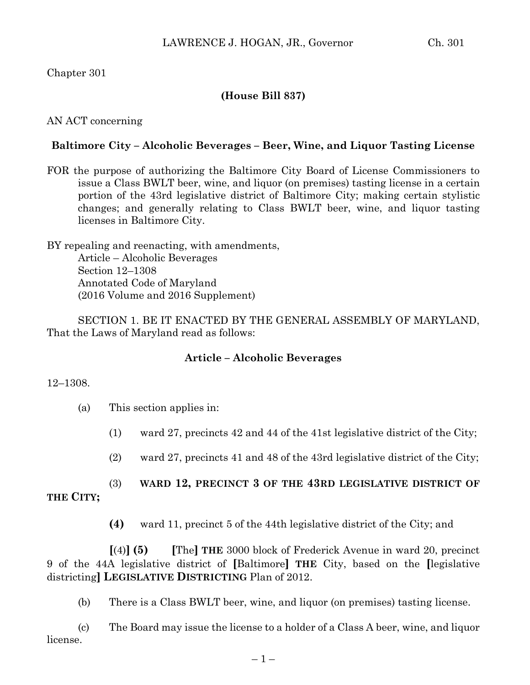# Chapter 301

# **(House Bill 837)**

# AN ACT concerning

# **Baltimore City – Alcoholic Beverages – Beer, Wine, and Liquor Tasting License**

FOR the purpose of authorizing the Baltimore City Board of License Commissioners to issue a Class BWLT beer, wine, and liquor (on premises) tasting license in a certain portion of the 43rd legislative district of Baltimore City; making certain stylistic changes; and generally relating to Class BWLT beer, wine, and liquor tasting licenses in Baltimore City.

BY repealing and reenacting, with amendments, Article – Alcoholic Beverages Section 12–1308 Annotated Code of Maryland (2016 Volume and 2016 Supplement)

SECTION 1. BE IT ENACTED BY THE GENERAL ASSEMBLY OF MARYLAND, That the Laws of Maryland read as follows:

# **Article – Alcoholic Beverages**

### 12–1308.

- (a) This section applies in:
	- (1) ward 27, precincts 42 and 44 of the 41st legislative district of the City;
	- (2) ward 27, precincts 41 and 48 of the 43rd legislative district of the City;

# (3) **WARD 12, PRECINCT 3 OF THE 43RD LEGISLATIVE DISTRICT OF**

# **THE CITY;**

**(4)** ward 11, precinct 5 of the 44th legislative district of the City; and

**[**(4)**] (5) [**The**] THE** 3000 block of Frederick Avenue in ward 20, precinct 9 of the 44A legislative district of **[**Baltimore**] THE** City, based on the **[**legislative districting**] LEGISLATIVE DISTRICTING** Plan of 2012.

(b) There is a Class BWLT beer, wine, and liquor (on premises) tasting license.

(c) The Board may issue the license to a holder of a Class A beer, wine, and liquor license.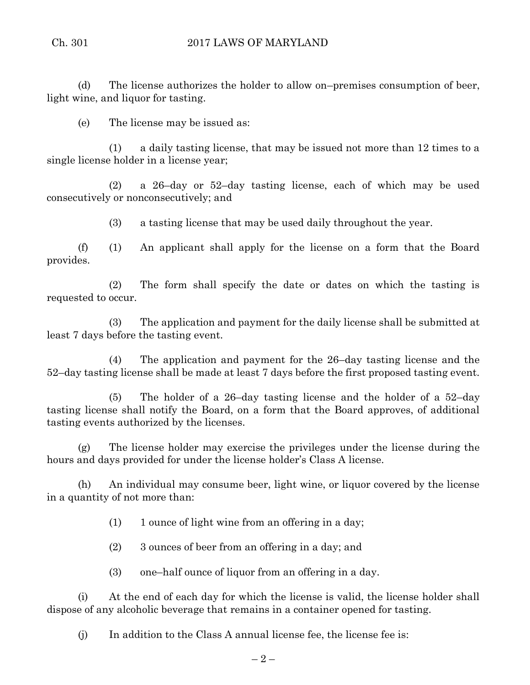(d) The license authorizes the holder to allow on–premises consumption of beer, light wine, and liquor for tasting.

(e) The license may be issued as:

(1) a daily tasting license, that may be issued not more than 12 times to a single license holder in a license year;

(2) a 26–day or 52–day tasting license, each of which may be used consecutively or nonconsecutively; and

(3) a tasting license that may be used daily throughout the year.

(f) (1) An applicant shall apply for the license on a form that the Board provides.

(2) The form shall specify the date or dates on which the tasting is requested to occur.

(3) The application and payment for the daily license shall be submitted at least 7 days before the tasting event.

(4) The application and payment for the 26–day tasting license and the 52–day tasting license shall be made at least 7 days before the first proposed tasting event.

(5) The holder of a 26–day tasting license and the holder of a 52–day tasting license shall notify the Board, on a form that the Board approves, of additional tasting events authorized by the licenses.

(g) The license holder may exercise the privileges under the license during the hours and days provided for under the license holder's Class A license.

(h) An individual may consume beer, light wine, or liquor covered by the license in a quantity of not more than:

 $(1)$  1 ounce of light wine from an offering in a day;

(2) 3 ounces of beer from an offering in a day; and

(3) one–half ounce of liquor from an offering in a day.

(i) At the end of each day for which the license is valid, the license holder shall dispose of any alcoholic beverage that remains in a container opened for tasting.

(j) In addition to the Class A annual license fee, the license fee is: